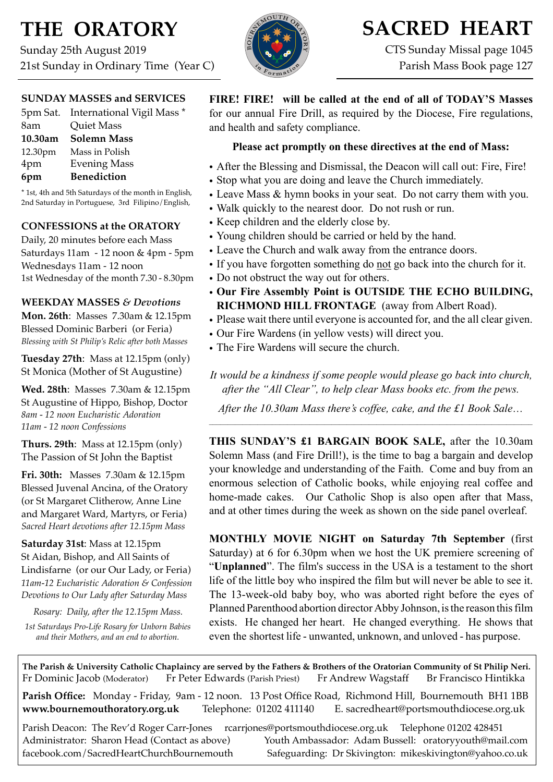# **THE ORATORY**

Sunday 25th August 2019 21st Sunday in Ordinary Time (Year C)

### **SUNDAY MASSES and SERVICES**

|         | 5pm Sat. International Vigil Mass * |
|---------|-------------------------------------|
| 8am     | <b>Quiet Mass</b>                   |
| 10.30am | <b>Solemn Mass</b>                  |
| 12.30pm | Mass in Polish                      |
| 4pm     | <b>Evening Mass</b>                 |
| 6pm     | <b>Benediction</b>                  |

\* 1st, 4th and 5th Saturdays of the month in English, 2nd Saturday in Portuguese, 3rd Filipino/English,

### **CONFESSIONS at the ORATORY**

Daily, 20 minutes before each Mass Saturdays 11am - 12 noon & 4pm - 5pm Wednesdays 11am - 12 noon 1st Wednesday of the month 7.30 - 8.30pm

### **WEEKDAY MASSES** *& Devotions*

**Mon. 26th**: Masses 7.30am & 12.15pm Blessed Dominic Barberi (or Feria) *Blessing with St Philip's Relic after both Masses*

**Tuesday 27th**: Mass at 12.15pm (only) St Monica (Mother of St Augustine)

**Wed. 28th**: Masses7.30am & 12.15pm St Augustine of Hippo, Bishop, Doctor *8am - 12 noon Eucharistic Adoration 11am - 12 noon Confessions*

**Thurs. 29th**: Mass at 12.15pm (only) The Passion of St John the Baptist

**Fri. 30th:** Masses 7.30am & 12.15pm Blessed Juvenal Ancina, of the Oratory (or St Margaret Clitherow, Anne Line and Margaret Ward, Martyrs, or Feria) *Sacred Heart devotions after 12.15pm Mass*

**Saturday 31st**: Mass at 12.15pm St Aidan, Bishop, and All Saints of Lindisfarne (or our Our Lady, or Feria) *11am-12 Eucharistic Adoration & Confession Devotions to Our Lady after Saturday Mass*

*Rosary: Daily, after the 12.15pm Mass. 1st Saturdays Pro-Life Rosary for Unborn Babies and their Mothers, and an end to abortion.* 



**SACRED HEART** CTS Sunday Missal page 1045

Parish Mass Book page 127

**FIRE! FIRE! will be called at the end of all of TODAY'S Masses**  for our annual Fire Drill, as required by the Diocese, Fire regulations, and health and safety compliance.

### **Please act promptly on these directives at the end of Mass:**

- After the Blessing and Dismissal, the Deacon will call out: Fire, Fire!
- Stop what you are doing and leave the Church immediately.
- Leave Mass & hymn books in your seat. Do not carry them with you.
- Walk quickly to the nearest door. Do not rush or run.
- Keep children and the elderly close by.
- Young children should be carried or held by the hand.
- Leave the Church and walk away from the entrance doors.
- If you have forgotten something do not go back into the church for it.
- Do not obstruct the way out for others.
- **Our Fire Assembly Point is OUTSIDE THE ECHO BUILDING, RICHMOND HILL FRONTAGE** (away from Albert Road).
- Please wait there until everyone is accounted for, and the all clear given.
- Our Fire Wardens (in yellow vests) will direct you.
- The Fire Wardens will secure the church.

*It would be a kindness if some people would please go back into church, after the "All Clear", to help clear Mass books etc. from the pews.* 

*After the 10.30am Mass there's coffee, cake, and the £1 Book Sale*…  $\mathcal{L}_\mathcal{L} = \{ \mathcal{L}_\mathcal{L} = \{ \mathcal{L}_\mathcal{L} = \{ \mathcal{L}_\mathcal{L} = \{ \mathcal{L}_\mathcal{L} = \{ \mathcal{L}_\mathcal{L} = \{ \mathcal{L}_\mathcal{L} = \{ \mathcal{L}_\mathcal{L} = \{ \mathcal{L}_\mathcal{L} = \{ \mathcal{L}_\mathcal{L} = \{ \mathcal{L}_\mathcal{L} = \{ \mathcal{L}_\mathcal{L} = \{ \mathcal{L}_\mathcal{L} = \{ \mathcal{L}_\mathcal{L} = \{ \mathcal{L}_\mathcal{$ 

**THIS SUNDAY'S £1 BARGAIN BOOK SALE,** after the 10.30am Solemn Mass (and Fire Drill!), is the time to bag a bargain and develop your knowledge and understanding of the Faith. Come and buy from an enormous selection of Catholic books, while enjoying real coffee and home-made cakes. Our Catholic Shop is also open after that Mass, and at other times during the week as shown on the side panel overleaf.

**MONTHLY MOVIE NIGHT on Saturday 7th September** (first Saturday) at 6 for 6.30pm when we host the UK premiere screening of "**Unplanned**". The film's success in the USA is a testament to the short life of the little boy who inspired the film but will never be able to see it. The 13-week-old baby boy, who was aborted right before the eyes of Planned Parenthood abortion director Abby Johnson, is the reason this film exists. He changed her heart. He changed everything. He shows that even the shortest life - unwanted, unknown, and unloved - has purpose.

**The Parish & University Catholic Chaplaincy are served by the Fathers & Brothers of the Oratorian Community of St Philip Neri.** Fr Dominic Jacob (Moderator) Fr Peter Edwards (Parish Priest) Fr Andrew Wagstaff Br Francisco Hintikka

**Parish Office:** Monday - Friday, 9am - 12 noon. 13 Post Office Road, Richmond Hill, Bournemouth BH1 1BB **[www.bournemouthoratory.org.uk](http://www.bournemoithoratory.org.uk)** Telephone: 01202 411140 E. [sacredheart@portsmouthdiocese.org.uk](mailto:sacredheart@portsmouthdiocese.org.uk)

Parish Deacon: The Rev'd Roger Carr-Jones [rcarrjones@portsmouthdiocese.org.uk](mailto:rcarrjones@portsmouthdiocese.org.uk) Telephone 01202 428451 Administrator: Sharon Head (Contact as above) Youth Ambassador: Adam Bussell: [oratoryyouth@mail.com](http://oratoryyouth.mail.com) [facebook.com/SacredHeartChurchBournemouth](http://facebook.com/SaccredHeartChurchBournemouth) Safeguarding: Dr Skivington: mikeskivington@yahoo.co.uk